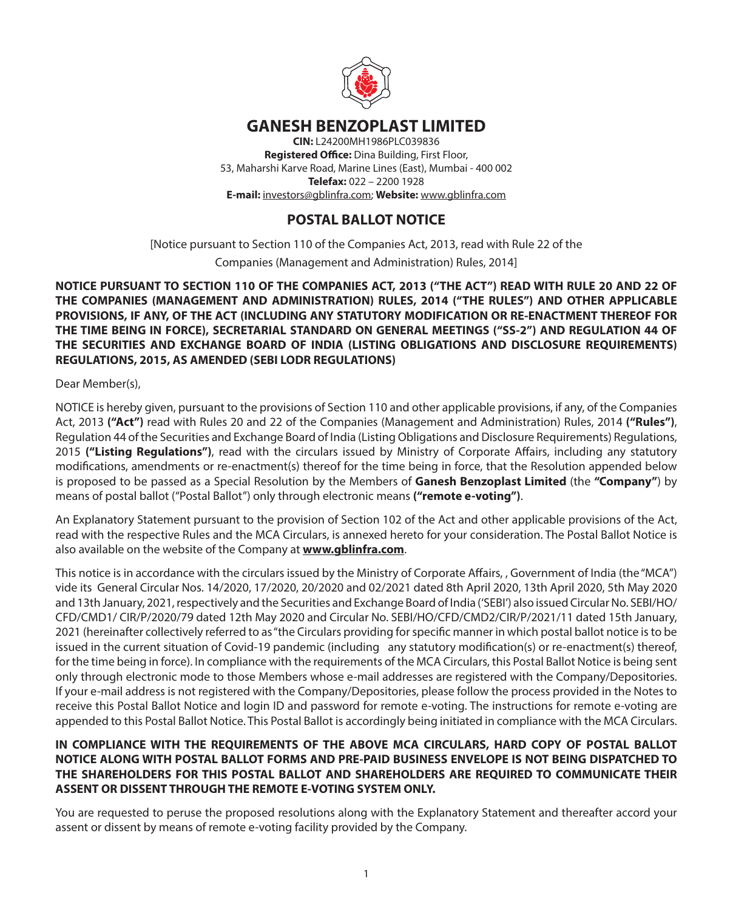

# **GANESH BENZOPLAST LIMITED**

**CIN:** L24200MH1986PLC039836 **Registered Office:** Dina Building, First Floor, 53, Maharshi Karve Road, Marine Lines (East), Mumbai - 400 002 **Telefax:** 022 – 2200 1928 **E-mail:** investors@gblinfra.com; **Website:** www.gblinfra.com

# **POSTAL BALLOT NOTICE**

[Notice pursuant to Section 110 of the Companies Act, 2013, read with Rule 22 of the Companies (Management and Administration) Rules, 2014]

# **NOTICE PURSUANT TO SECTION 110 OF THE COMPANIES ACT, 2013 ("THE ACT") READ WITH RULE 20 AND 22 OF THE COMPANIES (MANAGEMENT AND ADMINISTRATION) RULES, 2014 ("THE RULES") AND OTHER APPLICABLE PROVISIONS, IF ANY, OF THE ACT (INCLUDING ANY STATUTORY MODIFICATION OR RE-ENACTMENT THEREOF FOR THE TIME BEING IN FORCE), SECRETARIAL STANDARD ON GENERAL MEETINGS ("SS-2") AND REGULATION 44 OF THE SECURITIES AND EXCHANGE BOARD OF INDIA (LISTING OBLIGATIONS AND DISCLOSURE REQUIREMENTS) REGULATIONS, 2015, AS AMENDED (SEBI LODR REGULATIONS)**

Dear Member(s),

NOTICE is hereby given, pursuant to the provisions of Section 110 and other applicable provisions, if any, of the Companies Act, 2013 **("Act")** read with Rules 20 and 22 of the Companies (Management and Administration) Rules, 2014 **("Rules")**, Regulation 44 of the Securities and Exchange Board of India (Listing Obligations and Disclosure Requirements) Regulations, 2015 **("Listing Regulations")**, read with the circulars issued by Ministry of Corporate Affairs, including any statutory modifications, amendments or re-enactment(s) thereof for the time being in force, that the Resolution appended below is proposed to be passed as a Special Resolution by the Members of **Ganesh Benzoplast Limited** (the **"Company"**) by means of postal ballot ("Postal Ballot") only through electronic means **("remote e-voting")**.

An Explanatory Statement pursuant to the provision of Section 102 of the Act and other applicable provisions of the Act, read with the respective Rules and the MCA Circulars, is annexed hereto for your consideration. The Postal Ballot Notice is also available on the website of the Company at **www.gblinfra.com**.

This notice is in accordance with the circulars issued by the Ministry of Corporate Affairs, , Government of India (the "MCA") vide its General Circular Nos. 14/2020, 17/2020, 20/2020 and 02/2021 dated 8th April 2020, 13th April 2020, 5th May 2020 and 13th January, 2021, respectively and the Securities and Exchange Board of India ('SEBI') also issued Circular No. SEBI/HO/ CFD/CMD1/ CIR/P/2020/79 dated 12th May 2020 and Circular No. SEBI/HO/CFD/CMD2/CIR/P/2021/11 dated 15th January, 2021 (hereinafter collectively referred to as "the Circulars providing for specific manner in which postal ballot notice is to be issued in the current situation of Covid-19 pandemic (including any statutory modification(s) or re-enactment(s) thereof, for the time being in force). In compliance with the requirements of the MCA Circulars, this Postal Ballot Notice is being sent only through electronic mode to those Members whose e-mail addresses are registered with the Company/Depositories. If your e-mail address is not registered with the Company/Depositories, please follow the process provided in the Notes to receive this Postal Ballot Notice and login ID and password for remote e-voting. The instructions for remote e-voting are appended to this Postal Ballot Notice. This Postal Ballot is accordingly being initiated in compliance with the MCA Circulars.

# **IN COMPLIANCE WITH THE REQUIREMENTS OF THE ABOVE MCA CIRCULARS, HARD COPY OF POSTAL BALLOT NOTICE ALONG WITH POSTAL BALLOT FORMS AND PRE-PAID BUSINESS ENVELOPE IS NOT BEING DISPATCHED TO THE SHAREHOLDERS FOR THIS POSTAL BALLOT AND SHAREHOLDERS ARE REQUIRED TO COMMUNICATE THEIR ASSENT OR DISSENT THROUGH THE REMOTE E-VOTING SYSTEM ONLY.**

You are requested to peruse the proposed resolutions along with the Explanatory Statement and thereafter accord your assent or dissent by means of remote e-voting facility provided by the Company.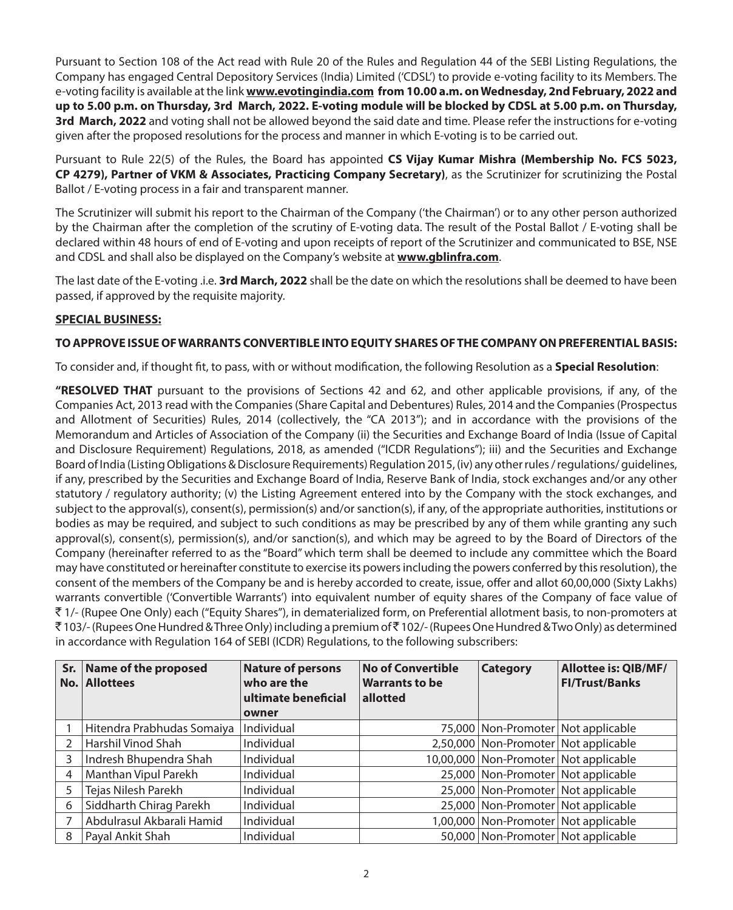Pursuant to Section 108 of the Act read with Rule 20 of the Rules and Regulation 44 of the SEBI Listing Regulations, the Company has engaged Central Depository Services (India) Limited ('CDSL') to provide e-voting facility to its Members. The e-voting facility is available at the link **www.evotingindia.com from 10.00 a.m. on Wednesday, 2nd February, 2022 and up to 5.00 p.m. on Thursday, 3rd March, 2022. E-voting module will be blocked by CDSL at 5.00 p.m. on Thursday, 3rd March, 2022** and voting shall not be allowed beyond the said date and time. Please refer the instructions for e-voting given after the proposed resolutions for the process and manner in which E-voting is to be carried out.

Pursuant to Rule 22(5) of the Rules, the Board has appointed **CS Vijay Kumar Mishra (Membership No. FCS 5023, CP 4279), Partner of VKM & Associates, Practicing Company Secretary)**, as the Scrutinizer for scrutinizing the Postal Ballot / E-voting process in a fair and transparent manner.

The Scrutinizer will submit his report to the Chairman of the Company ('the Chairman') or to any other person authorized by the Chairman after the completion of the scrutiny of E-voting data. The result of the Postal Ballot / E-voting shall be declared within 48 hours of end of E-voting and upon receipts of report of the Scrutinizer and communicated to BSE, NSE and CDSL and shall also be displayed on the Company's website at **www.gblinfra.com**.

The last date of the E-voting .i.e. **3rd March, 2022** shall be the date on which the resolutions shall be deemed to have been passed, if approved by the requisite majority.

# **SPECIAL BUSINESS:**

# **TO APPROVE ISSUE OF WARRANTS CONVERTIBLE INTO EQUITY SHARES OF THE COMPANY ON PREFERENTIAL BASIS:**

To consider and, if thought fit, to pass, with or without modification, the following Resolution as a **Special Resolution**:

**"RESOLVED THAT** pursuant to the provisions of Sections 42 and 62, and other applicable provisions, if any, of the Companies Act, 2013 read with the Companies (Share Capital and Debentures) Rules, 2014 and the Companies (Prospectus and Allotment of Securities) Rules, 2014 (collectively, the "CA 2013"); and in accordance with the provisions of the Memorandum and Articles of Association of the Company (ii) the Securities and Exchange Board of India (Issue of Capital and Disclosure Requirement) Regulations, 2018, as amended ("ICDR Regulations"); iii) and the Securities and Exchange Board of India (Listing Obligations & Disclosure Requirements) Regulation 2015, (iv) any other rules / regulations/ guidelines, if any, prescribed by the Securities and Exchange Board of India, Reserve Bank of India, stock exchanges and/or any other statutory / regulatory authority; (v) the Listing Agreement entered into by the Company with the stock exchanges, and subject to the approval(s), consent(s), permission(s) and/or sanction(s), if any, of the appropriate authorities, institutions or bodies as may be required, and subject to such conditions as may be prescribed by any of them while granting any such approval(s), consent(s), permission(s), and/or sanction(s), and which may be agreed to by the Board of Directors of the Company (hereinafter referred to as the "Board" which term shall be deemed to include any committee which the Board may have constituted or hereinafter constitute to exercise its powers including the powers conferred by this resolution), the consent of the members of the Company be and is hereby accorded to create, issue, offer and allot 60,00,000 (Sixty Lakhs) warrants convertible ('Convertible Warrants') into equivalent number of equity shares of the Company of face value of ` 1/- (Rupee One Only) each ("Equity Shares"), in dematerialized form, on Preferential allotment basis, to non-promoters at  $\bar{\bar{\xi}}$  103/- (Rupees One Hundred & Three Only) including a premium of  $\bar{\bar{\xi}}$  102/- (Rupees One Hundred & Two Only) as determined in accordance with Regulation 164 of SEBI (ICDR) Regulations, to the following subscribers:

| No.           | Sr. Name of the proposed<br><b>Allottees</b> | <b>Nature of persons</b><br>who are the<br>ultimate beneficial<br>owner | <b>No of Convertible</b><br><b>Warrants to be</b><br>allotted | <b>Category</b> | <b>Allottee is: QIB/MF/</b><br><b>FI/Trust/Banks</b> |
|---------------|----------------------------------------------|-------------------------------------------------------------------------|---------------------------------------------------------------|-----------------|------------------------------------------------------|
|               | Hitendra Prabhudas Somaiya                   | Individual                                                              |                                                               |                 | 75,000 Non-Promoter Not applicable                   |
| $\mathcal{P}$ | Harshil Vinod Shah                           | Individual                                                              |                                                               |                 | 2,50,000 Non-Promoter Not applicable                 |
| 3             | Indresh Bhupendra Shah                       | Individual                                                              |                                                               |                 | 10,00,000 Non-Promoter Not applicable                |
| 4             | Manthan Vipul Parekh                         | Individual                                                              |                                                               |                 | 25,000 Non-Promoter Not applicable                   |
| 5             | Tejas Nilesh Parekh                          | Individual                                                              |                                                               |                 | 25,000 Non-Promoter Not applicable                   |
| 6             | Siddharth Chirag Parekh                      | Individual                                                              |                                                               |                 | 25,000 Non-Promoter Not applicable                   |
|               | Abdulrasul Akbarali Hamid                    | Individual                                                              |                                                               |                 | 1,00,000 Non-Promoter Not applicable                 |
| 8             | Payal Ankit Shah                             | Individual                                                              |                                                               |                 | 50,000 Non-Promoter Not applicable                   |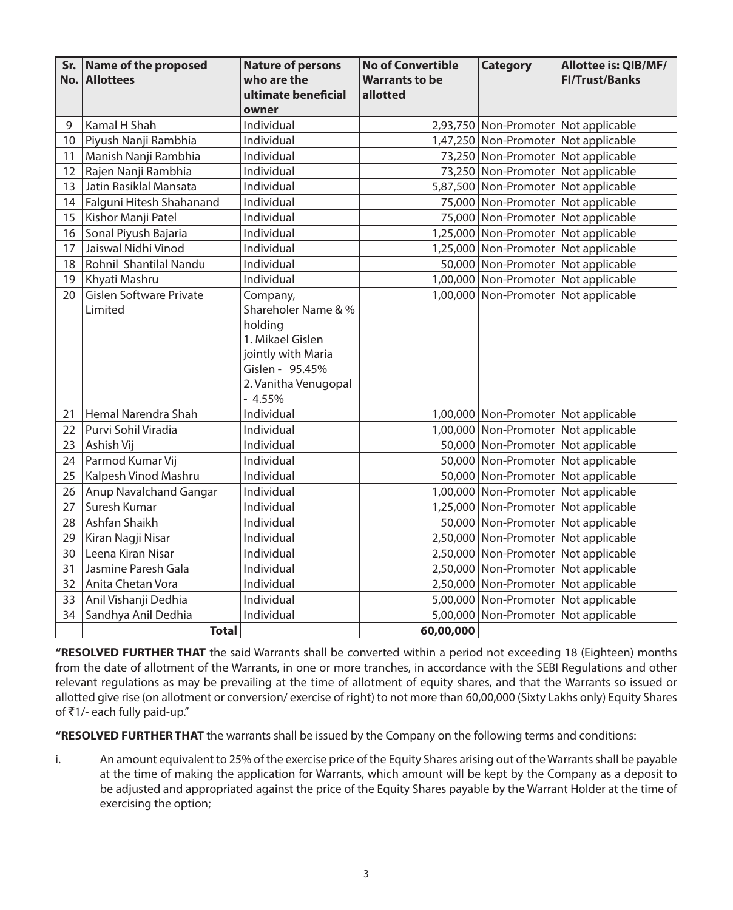| No. | Sr. Name of the proposed<br><b>Allottees</b> | <b>Nature of persons</b><br>who are the<br>ultimate beneficial                                                                              | <b>No of Convertible</b><br><b>Warrants to be</b><br>allotted | <b>Category</b>                      | Allottee is: QIB/MF/<br><b>FI/Trust/Banks</b> |
|-----|----------------------------------------------|---------------------------------------------------------------------------------------------------------------------------------------------|---------------------------------------------------------------|--------------------------------------|-----------------------------------------------|
|     |                                              | owner                                                                                                                                       |                                                               |                                      |                                               |
| 9   | Kamal H Shah                                 | Individual                                                                                                                                  |                                                               |                                      | 2,93,750 Non-Promoter Not applicable          |
| 10  | Piyush Nanji Rambhia                         | Individual                                                                                                                                  |                                                               |                                      | 1,47,250 Non-Promoter Not applicable          |
| 11  | Manish Nanji Rambhia                         | Individual                                                                                                                                  |                                                               |                                      | 73,250 Non-Promoter Not applicable            |
| 12  | Rajen Nanji Rambhia                          | Individual                                                                                                                                  |                                                               |                                      | 73,250 Non-Promoter Not applicable            |
| 13  | Jatin Rasiklal Mansata                       | Individual                                                                                                                                  |                                                               |                                      | 5,87,500 Non-Promoter Not applicable          |
| 14  | Falguni Hitesh Shahanand                     | Individual                                                                                                                                  |                                                               |                                      | 75,000 Non-Promoter Not applicable            |
| 15  | Kishor Manji Patel                           | Individual                                                                                                                                  |                                                               |                                      | 75,000 Non-Promoter Not applicable            |
| 16  | Sonal Piyush Bajaria                         | Individual                                                                                                                                  |                                                               |                                      | 1,25,000 Non-Promoter Not applicable          |
| 17  | Jaiswal Nidhi Vinod                          | Individual                                                                                                                                  |                                                               |                                      | 1,25,000 Non-Promoter Not applicable          |
| 18  | Rohnil Shantilal Nandu                       | Individual                                                                                                                                  |                                                               | 50,000 Non-Promoter Not applicable   |                                               |
| 19  | Khyati Mashru                                | Individual                                                                                                                                  |                                                               |                                      | 1,00,000 Non-Promoter Not applicable          |
| 20  | Gislen Software Private<br>Limited           | Company,<br>Shareholer Name & %<br>holding<br>1. Mikael Gislen<br>jointly with Maria<br>Gislen - 95.45%<br>2. Vanitha Venugopal<br>$-4.55%$ |                                                               |                                      | 1,00,000 Non-Promoter Not applicable          |
| 21  | Hemal Narendra Shah                          | Individual                                                                                                                                  |                                                               |                                      | 1,00,000 Non-Promoter Not applicable          |
| 22  | Purvi Sohil Viradia                          | Individual                                                                                                                                  |                                                               |                                      | 1,00,000 Non-Promoter Not applicable          |
| 23  | Ashish Vij                                   | Individual                                                                                                                                  |                                                               |                                      | 50,000 Non-Promoter Not applicable            |
| 24  | Parmod Kumar Vij                             | Individual                                                                                                                                  |                                                               | 50,000 Non-Promoter Not applicable   |                                               |
| 25  | Kalpesh Vinod Mashru                         | Individual                                                                                                                                  |                                                               |                                      | 50,000 Non-Promoter Not applicable            |
| 26  | Anup Navalchand Gangar                       | Individual                                                                                                                                  |                                                               |                                      | 1,00,000 Non-Promoter Not applicable          |
| 27  | Suresh Kumar                                 | Individual                                                                                                                                  |                                                               |                                      | 1,25,000 Non-Promoter Not applicable          |
| 28  | Ashfan Shaikh                                | Individual                                                                                                                                  |                                                               |                                      | 50,000 Non-Promoter Not applicable            |
| 29  | Kiran Nagji Nisar                            | Individual                                                                                                                                  |                                                               |                                      | 2,50,000 Non-Promoter Not applicable          |
| 30  | Leena Kiran Nisar                            | Individual                                                                                                                                  |                                                               |                                      | 2,50,000 Non-Promoter Not applicable          |
| 31  | Jasmine Paresh Gala                          | Individual                                                                                                                                  |                                                               |                                      | 2,50,000 Non-Promoter Not applicable          |
| 32  | Anita Chetan Vora                            | Individual                                                                                                                                  |                                                               |                                      | 2,50,000 Non-Promoter Not applicable          |
| 33  | Anil Vishanji Dedhia                         | Individual                                                                                                                                  |                                                               |                                      | 5,00,000 Non-Promoter Not applicable          |
| 34  | Sandhya Anil Dedhia                          | Individual                                                                                                                                  |                                                               | 5,00,000 Non-Promoter Not applicable |                                               |
|     | <b>Total</b>                                 |                                                                                                                                             | 60,00,000                                                     |                                      |                                               |

**"RESOLVED FURTHER THAT** the said Warrants shall be converted within a period not exceeding 18 (Eighteen) months from the date of allotment of the Warrants, in one or more tranches, in accordance with the SEBI Regulations and other relevant regulations as may be prevailing at the time of allotment of equity shares, and that the Warrants so issued or allotted give rise (on allotment or conversion/ exercise of right) to not more than 60,00,000 (Sixty Lakhs only) Equity Shares of  $\bar{\tau}$ 1/- each fully paid-up."

**"RESOLVED FURTHER THAT** the warrants shall be issued by the Company on the following terms and conditions:

i. An amount equivalent to 25% of the exercise price of the Equity Shares arising out of the Warrants shall be payable at the time of making the application for Warrants, which amount will be kept by the Company as a deposit to be adjusted and appropriated against the price of the Equity Shares payable by the Warrant Holder at the time of exercising the option;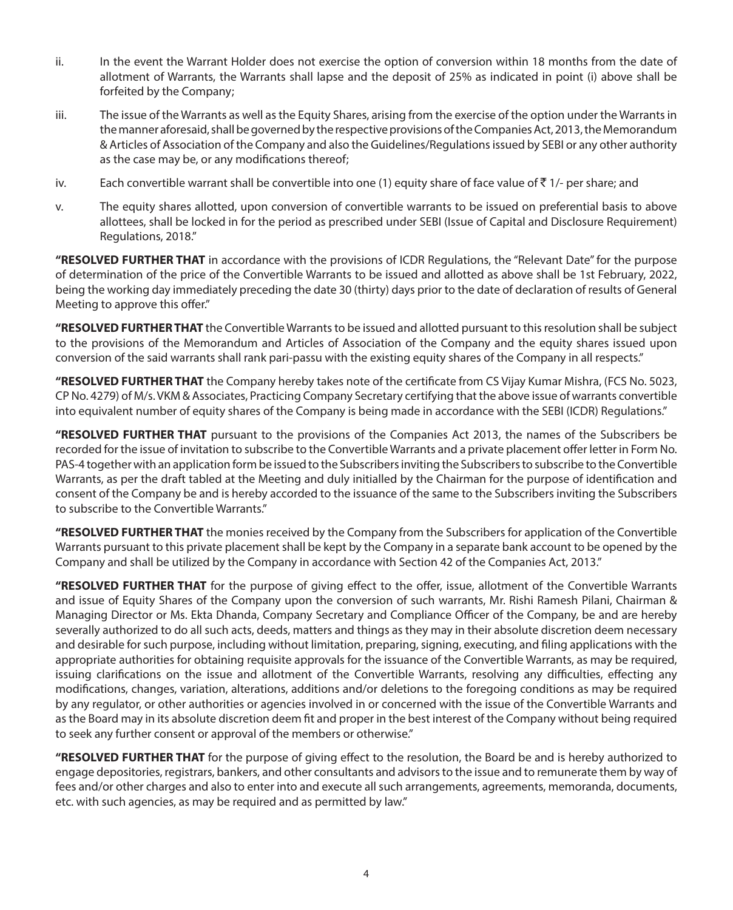- ii. In the event the Warrant Holder does not exercise the option of conversion within 18 months from the date of allotment of Warrants, the Warrants shall lapse and the deposit of 25% as indicated in point (i) above shall be forfeited by the Company;
- iii. The issue of the Warrants as well as the Equity Shares, arising from the exercise of the option under the Warrants in the manner aforesaid, shall be governed by the respective provisions of the Companies Act, 2013, the Memorandum & Articles of Association of the Company and also the Guidelines/Regulations issued by SEBI or any other authority as the case may be, or any modifications thereof;
- iv. Each convertible warrant shall be convertible into one (1) equity share of face value of  $\bar{z}$  1/- per share; and
- v. The equity shares allotted, upon conversion of convertible warrants to be issued on preferential basis to above allottees, shall be locked in for the period as prescribed under SEBI (Issue of Capital and Disclosure Requirement) Regulations, 2018."

**"RESOLVED FURTHER THAT** in accordance with the provisions of ICDR Regulations, the "Relevant Date" for the purpose of determination of the price of the Convertible Warrants to be issued and allotted as above shall be 1st February, 2022, being the working day immediately preceding the date 30 (thirty) days prior to the date of declaration of results of General Meeting to approve this offer."

**"RESOLVED FURTHER THAT** the Convertible Warrants to be issued and allotted pursuant to this resolution shall be subject to the provisions of the Memorandum and Articles of Association of the Company and the equity shares issued upon conversion of the said warrants shall rank pari-passu with the existing equity shares of the Company in all respects."

**"RESOLVED FURTHER THAT** the Company hereby takes note of the certificate from CS Vijay Kumar Mishra, (FCS No. 5023, CP No. 4279) of M/s. VKM & Associates, Practicing Company Secretary certifying that the above issue of warrants convertible into equivalent number of equity shares of the Company is being made in accordance with the SEBI (ICDR) Regulations."

**"RESOLVED FURTHER THAT** pursuant to the provisions of the Companies Act 2013, the names of the Subscribers be recorded for the issue of invitation to subscribe to the Convertible Warrants and a private placement offer letter in Form No. PAS-4 together with an application form be issued to the Subscribers inviting the Subscribers to subscribe to the Convertible Warrants, as per the draft tabled at the Meeting and duly initialled by the Chairman for the purpose of identification and consent of the Company be and is hereby accorded to the issuance of the same to the Subscribers inviting the Subscribers to subscribe to the Convertible Warrants."

**"RESOLVED FURTHER THAT** the monies received by the Company from the Subscribers for application of the Convertible Warrants pursuant to this private placement shall be kept by the Company in a separate bank account to be opened by the Company and shall be utilized by the Company in accordance with Section 42 of the Companies Act, 2013."

**"RESOLVED FURTHER THAT** for the purpose of giving effect to the offer, issue, allotment of the Convertible Warrants and issue of Equity Shares of the Company upon the conversion of such warrants, Mr. Rishi Ramesh Pilani, Chairman & Managing Director or Ms. Ekta Dhanda, Company Secretary and Compliance Officer of the Company, be and are hereby severally authorized to do all such acts, deeds, matters and things as they may in their absolute discretion deem necessary and desirable for such purpose, including without limitation, preparing, signing, executing, and filing applications with the appropriate authorities for obtaining requisite approvals for the issuance of the Convertible Warrants, as may be required, issuing clarifications on the issue and allotment of the Convertible Warrants, resolving any difficulties, effecting any modifications, changes, variation, alterations, additions and/or deletions to the foregoing conditions as may be required by any regulator, or other authorities or agencies involved in or concerned with the issue of the Convertible Warrants and as the Board may in its absolute discretion deem fit and proper in the best interest of the Company without being required to seek any further consent or approval of the members or otherwise."

**"RESOLVED FURTHER THAT** for the purpose of giving effect to the resolution, the Board be and is hereby authorized to engage depositories, registrars, bankers, and other consultants and advisors to the issue and to remunerate them by way of fees and/or other charges and also to enter into and execute all such arrangements, agreements, memoranda, documents, etc. with such agencies, as may be required and as permitted by law."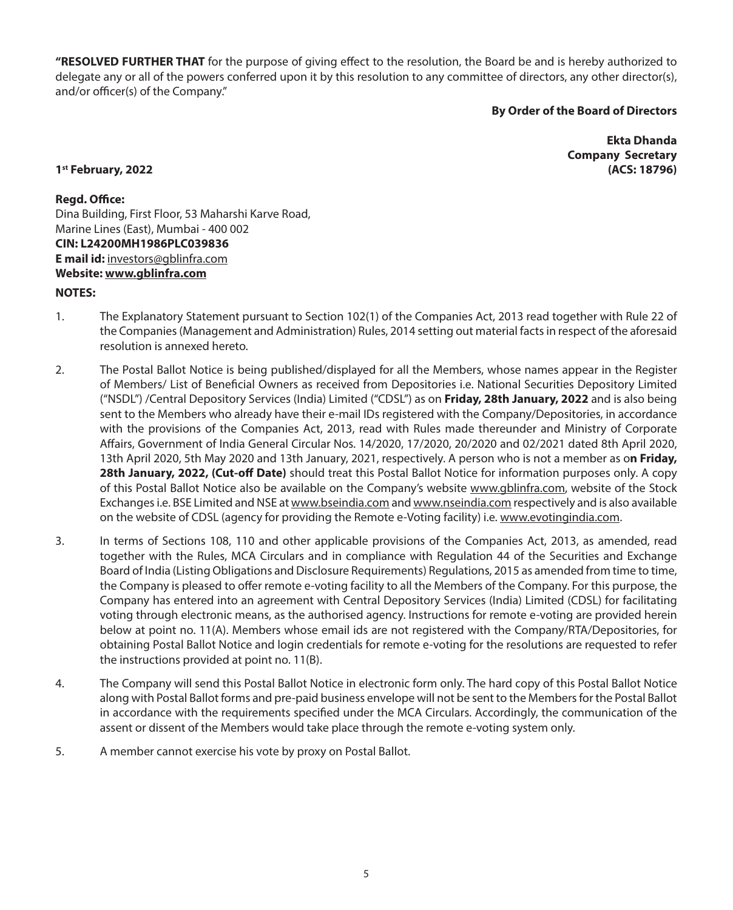**"RESOLVED FURTHER THAT** for the purpose of giving effect to the resolution, the Board be and is hereby authorized to delegate any or all of the powers conferred upon it by this resolution to any committee of directors, any other director(s), and/or officer(s) of the Company."

# **By Order of the Board of Directors**

**Ekta Dhanda Company Secretary 1st February, 2022 (ACS: 18796)**

# **Regd. Office:**

Dina Building, First Floor, 53 Maharshi Karve Road, Marine Lines (East), Mumbai - 400 002 **CIN: L24200MH1986PLC039836 E mail id:** investors@gblinfra.com **Website: www.gblinfra.com**

#### **NOTES:**

- 1. The Explanatory Statement pursuant to Section 102(1) of the Companies Act, 2013 read together with Rule 22 of the Companies (Management and Administration) Rules, 2014 setting out material facts in respect of the aforesaid resolution is annexed hereto.
- 2. The Postal Ballot Notice is being published/displayed for all the Members, whose names appear in the Register of Members/ List of Beneficial Owners as received from Depositories i.e. National Securities Depository Limited ("NSDL") /Central Depository Services (India) Limited ("CDSL") as on **Friday, 28th January, 2022** and is also being sent to the Members who already have their e-mail IDs registered with the Company/Depositories, in accordance with the provisions of the Companies Act, 2013, read with Rules made thereunder and Ministry of Corporate Affairs, Government of India General Circular Nos. 14/2020, 17/2020, 20/2020 and 02/2021 dated 8th April 2020, 13th April 2020, 5th May 2020 and 13th January, 2021, respectively. A person who is not a member as o**n Friday, 28th January, 2022, (Cut-off Date)** should treat this Postal Ballot Notice for information purposes only. A copy of this Postal Ballot Notice also be available on the Company's website www.gblinfra.com, website of the Stock Exchanges i.e. BSE Limited and NSE at www.bseindia.com and www.nseindia.com respectively and is also available on the website of CDSL (agency for providing the Remote e-Voting facility) i.e. www.evotingindia.com.
- 3. In terms of Sections 108, 110 and other applicable provisions of the Companies Act, 2013, as amended, read together with the Rules, MCA Circulars and in compliance with Regulation 44 of the Securities and Exchange Board of India (Listing Obligations and Disclosure Requirements) Regulations, 2015 as amended from time to time, the Company is pleased to offer remote e-voting facility to all the Members of the Company. For this purpose, the Company has entered into an agreement with Central Depository Services (India) Limited (CDSL) for facilitating voting through electronic means, as the authorised agency. Instructions for remote e-voting are provided herein below at point no. 11(A). Members whose email ids are not registered with the Company/RTA/Depositories, for obtaining Postal Ballot Notice and login credentials for remote e-voting for the resolutions are requested to refer the instructions provided at point no. 11(B).
- 4. The Company will send this Postal Ballot Notice in electronic form only. The hard copy of this Postal Ballot Notice along with Postal Ballot forms and pre-paid business envelope will not be sent to the Members for the Postal Ballot in accordance with the requirements specified under the MCA Circulars. Accordingly, the communication of the assent or dissent of the Members would take place through the remote e-voting system only.
- 5. A member cannot exercise his vote by proxy on Postal Ballot.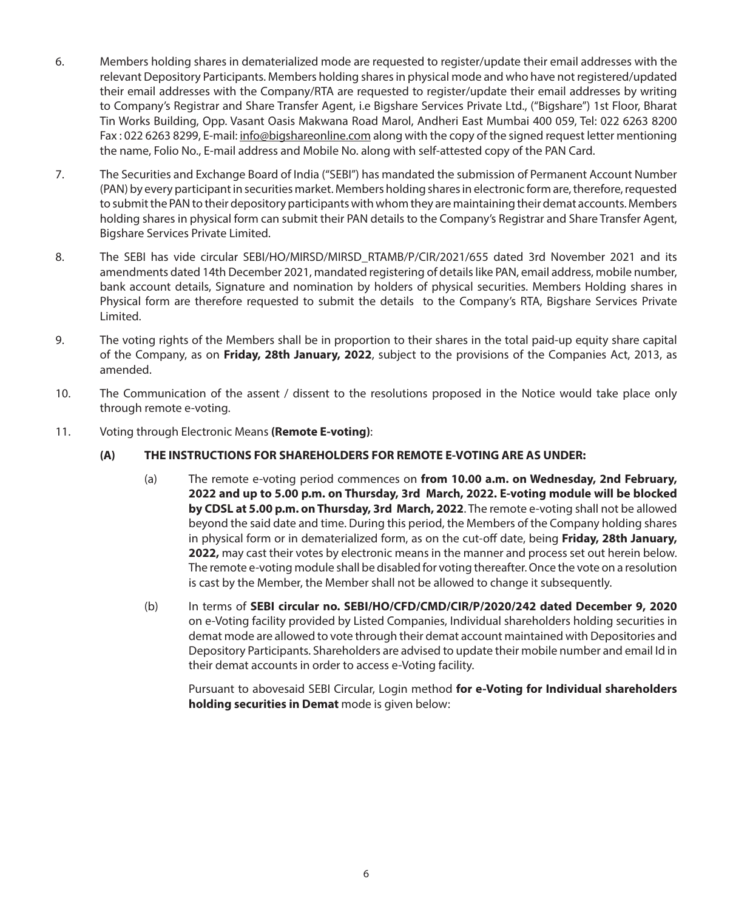- 6. Members holding shares in dematerialized mode are requested to register/update their email addresses with the relevant Depository Participants. Members holding shares in physical mode and who have not registered/updated their email addresses with the Company/RTA are requested to register/update their email addresses by writing to Company's Registrar and Share Transfer Agent, i.e Bigshare Services Private Ltd., ("Bigshare") 1st Floor, Bharat Tin Works Building, Opp. Vasant Oasis Makwana Road Marol, Andheri East Mumbai 400 059, Tel: 022 6263 8200 Fax : 022 6263 8299, E-mail: info@bigshareonline.com along with the copy of the signed request letter mentioning the name, Folio No., E-mail address and Mobile No. along with self-attested copy of the PAN Card.
- 7. The Securities and Exchange Board of India ("SEBI") has mandated the submission of Permanent Account Number (PAN) by every participant in securities market. Members holding shares in electronic form are, therefore, requested to submit the PAN to their depository participants with whom they are maintaining their demat accounts. Members holding shares in physical form can submit their PAN details to the Company's Registrar and Share Transfer Agent, Bigshare Services Private Limited.
- 8. The SEBI has vide circular SEBI/HO/MIRSD/MIRSD\_RTAMB/P/CIR/2021/655 dated 3rd November 2021 and its amendments dated 14th December 2021, mandated registering of details like PAN, email address, mobile number, bank account details, Signature and nomination by holders of physical securities. Members Holding shares in Physical form are therefore requested to submit the details to the Company's RTA, Bigshare Services Private Limited.
- 9. The voting rights of the Members shall be in proportion to their shares in the total paid-up equity share capital of the Company, as on **Friday, 28th January, 2022**, subject to the provisions of the Companies Act, 2013, as amended.
- 10. The Communication of the assent / dissent to the resolutions proposed in the Notice would take place only through remote e-voting.
- 11. Voting through Electronic Means **(Remote E-voting)**:

# **(A) THE INSTRUCTIONS FOR SHAREHOLDERS FOR REMOTE E-VOTING ARE AS UNDER:**

- (a) The remote e-voting period commences on **from 10.00 a.m. on Wednesday, 2nd February, 2022 and up to 5.00 p.m. on Thursday, 3rd March, 2022. E-voting module will be blocked by CDSL at 5.00 p.m. on Thursday, 3rd March, 2022**. The remote e-voting shall not be allowed beyond the said date and time. During this period, the Members of the Company holding shares in physical form or in dematerialized form, as on the cut-off date, being **Friday, 28th January, 2022,** may cast their votes by electronic means in the manner and process set out herein below. The remote e-voting module shall be disabled for voting thereafter. Once the vote on a resolution is cast by the Member, the Member shall not be allowed to change it subsequently.
- (b) In terms of **SEBI circular no. SEBI/HO/CFD/CMD/CIR/P/2020/242 dated December 9, 2020** on e-Voting facility provided by Listed Companies, Individual shareholders holding securities in demat mode are allowed to vote through their demat account maintained with Depositories and Depository Participants. Shareholders are advised to update their mobile number and email Id in their demat accounts in order to access e-Voting facility.

Pursuant to abovesaid SEBI Circular, Login method **for e-Voting for Individual shareholders holding securities in Demat** mode is given below: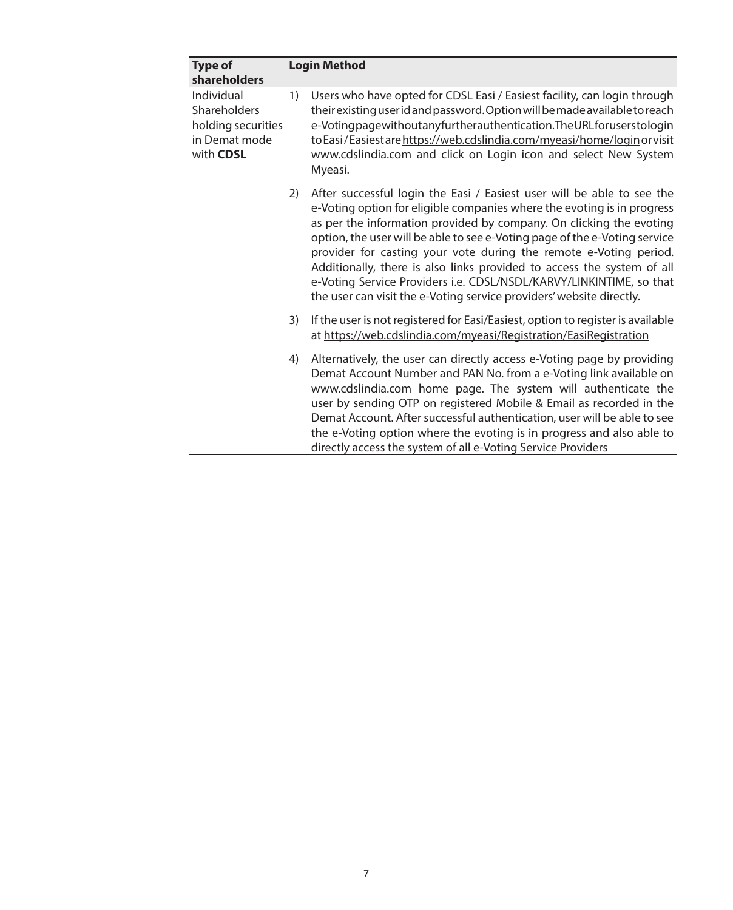| <b>Type of</b>                                                                 | <b>Login Method</b>                                                                                                                                                                                                                                                                                                                                                                                                                                                                                                                                                                                        |
|--------------------------------------------------------------------------------|------------------------------------------------------------------------------------------------------------------------------------------------------------------------------------------------------------------------------------------------------------------------------------------------------------------------------------------------------------------------------------------------------------------------------------------------------------------------------------------------------------------------------------------------------------------------------------------------------------|
| shareholders                                                                   |                                                                                                                                                                                                                                                                                                                                                                                                                                                                                                                                                                                                            |
| Individual<br>Shareholders<br>holding securities<br>in Demat mode<br>with CDSL | Users who have opted for CDSL Easi / Easiest facility, can login through<br>1)<br>their existing user id and password. Option will be made available to reach<br>e-Votingpagewithoutanyfurtherauthentication. The URL for userstologin<br>to Easi/Easiest are https://web.cdslindia.com/myeasi/home/login or visit<br>www.cdslindia.com and click on Login icon and select New System<br>Myeasi.                                                                                                                                                                                                           |
|                                                                                | After successful login the Easi / Easiest user will be able to see the<br>2)<br>e-Voting option for eligible companies where the evoting is in progress<br>as per the information provided by company. On clicking the evoting<br>option, the user will be able to see e-Voting page of the e-Voting service<br>provider for casting your vote during the remote e-Voting period.<br>Additionally, there is also links provided to access the system of all<br>e-Voting Service Providers i.e. CDSL/NSDL/KARVY/LINKINTIME, so that<br>the user can visit the e-Voting service providers' website directly. |
|                                                                                | If the user is not registered for Easi/Easiest, option to register is available<br>3)<br>at https://web.cdslindia.com/myeasi/Registration/EasiRegistration                                                                                                                                                                                                                                                                                                                                                                                                                                                 |
|                                                                                | Alternatively, the user can directly access e-Voting page by providing<br>4)<br>Demat Account Number and PAN No. from a e-Voting link available on<br>www.cdslindia.com home page. The system will authenticate the<br>user by sending OTP on registered Mobile & Email as recorded in the<br>Demat Account. After successful authentication, user will be able to see<br>the e-Voting option where the evoting is in progress and also able to<br>directly access the system of all e-Voting Service Providers                                                                                            |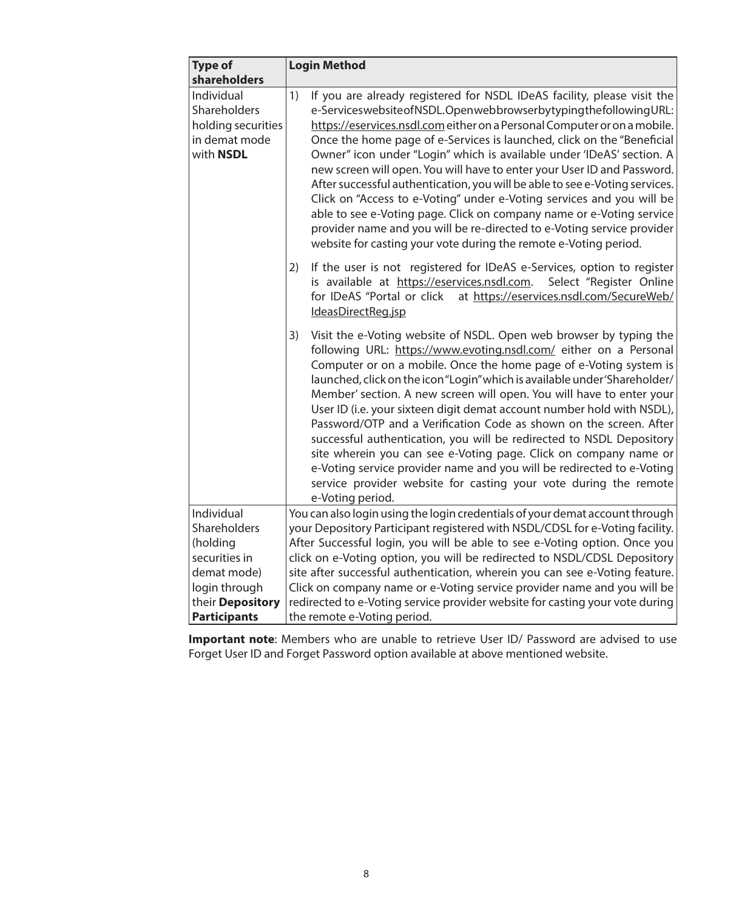| <b>Type of</b>                                                                 | <b>Login Method</b>                                                                                                                                                                                                                                                                                                                                                                                                                                                                                                                                                                                                                                                                                                                                                                                                                     |
|--------------------------------------------------------------------------------|-----------------------------------------------------------------------------------------------------------------------------------------------------------------------------------------------------------------------------------------------------------------------------------------------------------------------------------------------------------------------------------------------------------------------------------------------------------------------------------------------------------------------------------------------------------------------------------------------------------------------------------------------------------------------------------------------------------------------------------------------------------------------------------------------------------------------------------------|
| shareholders                                                                   |                                                                                                                                                                                                                                                                                                                                                                                                                                                                                                                                                                                                                                                                                                                                                                                                                                         |
| Individual<br>Shareholders<br>holding securities<br>in demat mode<br>with NSDL | If you are already registered for NSDL IDeAS facility, please visit the<br>1)<br>e-ServiceswebsiteofNSDL.OpenwebbrowserbytypingthefollowingURL:<br>https://eservices.nsdl.com either on a Personal Computer or on a mobile.<br>Once the home page of e-Services is launched, click on the "Beneficial<br>Owner" icon under "Login" which is available under 'IDeAS' section. A<br>new screen will open. You will have to enter your User ID and Password.<br>After successful authentication, you will be able to see e-Voting services.<br>Click on "Access to e-Voting" under e-Voting services and you will be<br>able to see e-Voting page. Click on company name or e-Voting service<br>provider name and you will be re-directed to e-Voting service provider<br>website for casting your vote during the remote e-Voting period. |
|                                                                                | If the user is not registered for IDeAS e-Services, option to register<br>2)<br>is available at https://eservices.nsdl.com.<br>Select "Register Online<br>for IDeAS "Portal or click at https://eservices.nsdl.com/SecureWeb/<br>IdeasDirectReg.jsp                                                                                                                                                                                                                                                                                                                                                                                                                                                                                                                                                                                     |
|                                                                                | Visit the e-Voting website of NSDL. Open web browser by typing the<br>3)<br>following URL: https://www.evoting.nsdl.com/ either on a Personal<br>Computer or on a mobile. Once the home page of e-Voting system is<br>launched, click on the icon "Login" which is available under 'Shareholder/<br>Member' section. A new screen will open. You will have to enter your<br>User ID (i.e. your sixteen digit demat account number hold with NSDL),<br>Password/OTP and a Verification Code as shown on the screen. After<br>successful authentication, you will be redirected to NSDL Depository<br>site wherein you can see e-Voting page. Click on company name or<br>e-Voting service provider name and you will be redirected to e-Voting<br>service provider website for casting your vote during the remote<br>e-Voting period.   |
| Individual                                                                     | You can also login using the login credentials of your demat account through                                                                                                                                                                                                                                                                                                                                                                                                                                                                                                                                                                                                                                                                                                                                                            |
| Shareholders                                                                   | your Depository Participant registered with NSDL/CDSL for e-Voting facility.                                                                                                                                                                                                                                                                                                                                                                                                                                                                                                                                                                                                                                                                                                                                                            |
| (holding                                                                       | After Successful login, you will be able to see e-Voting option. Once you                                                                                                                                                                                                                                                                                                                                                                                                                                                                                                                                                                                                                                                                                                                                                               |
| securities in<br>demat mode)                                                   | click on e-Voting option, you will be redirected to NSDL/CDSL Depository<br>site after successful authentication, wherein you can see e-Voting feature.                                                                                                                                                                                                                                                                                                                                                                                                                                                                                                                                                                                                                                                                                 |
| login through                                                                  | Click on company name or e-Voting service provider name and you will be                                                                                                                                                                                                                                                                                                                                                                                                                                                                                                                                                                                                                                                                                                                                                                 |
| their Depository                                                               | redirected to e-Voting service provider website for casting your vote during                                                                                                                                                                                                                                                                                                                                                                                                                                                                                                                                                                                                                                                                                                                                                            |
| <b>Participants</b>                                                            | the remote e-Voting period.                                                                                                                                                                                                                                                                                                                                                                                                                                                                                                                                                                                                                                                                                                                                                                                                             |

**Important note**: Members who are unable to retrieve User ID/ Password are advised to use Forget User ID and Forget Password option available at above mentioned website.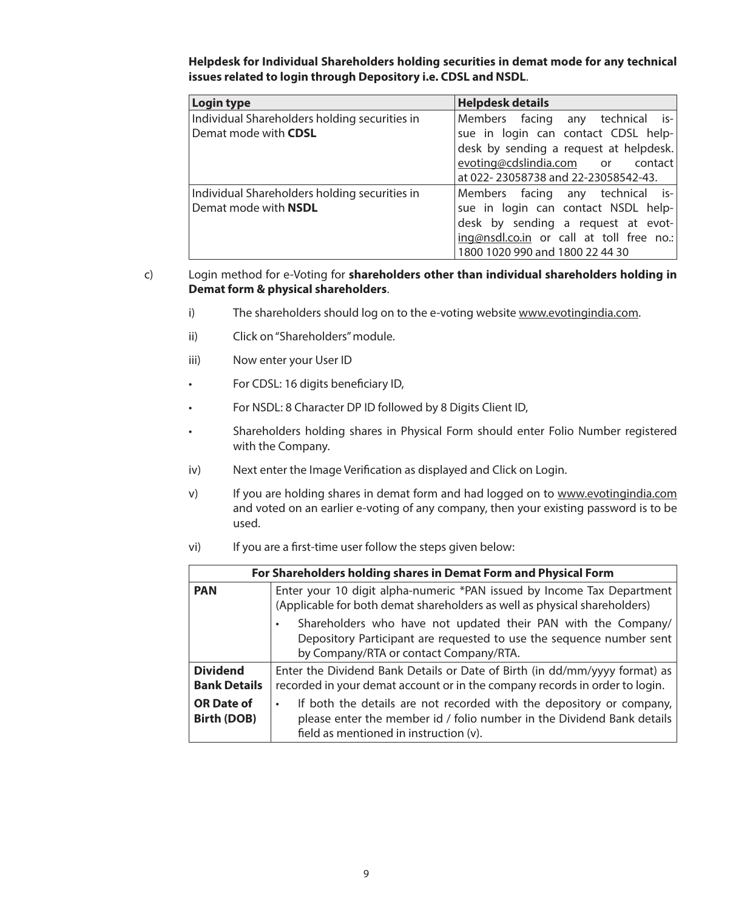| <b>Login type</b>                             | <b>Helpdesk details</b>                  |
|-----------------------------------------------|------------------------------------------|
| Individual Shareholders holding securities in | Members facing any technical is-         |
| Demat mode with CDSL                          | sue in login can contact CDSL help-      |
|                                               | desk by sending a request at helpdesk.   |
|                                               | evoting@cdslindia.com or contact         |
|                                               | at 022-23058738 and 22-23058542-43.      |
| Individual Shareholders holding securities in | Members facing any technical is-         |
| Demat mode with NSDL                          | sue in login can contact NSDL help-      |
|                                               | desk by sending a request at evot-       |
|                                               | ing@nsdl.co.in or call at toll free no.: |
|                                               | 1800 1020 990 and 1800 22 44 30          |

**Helpdesk for Individual Shareholders holding securities in demat mode for any technical issues related to login through Depository i.e. CDSL and NSDL**.

#### c) Login method for e-Voting for **shareholders other than individual shareholders holding in Demat form & physical shareholders**.

- i) The shareholders should log on to the e-voting website www.evotingindia.com.
- ii) Click on "Shareholders" module.
- iii) Now enter your User ID
- • For CDSL: 16 digits beneficiary ID,
- • For NSDL: 8 Character DP ID followed by 8 Digits Client ID,
- • Shareholders holding shares in Physical Form should enter Folio Number registered with the Company.
- iv) Next enter the Image Verification as displayed and Click on Login.
- v) If you are holding shares in demat form and had logged on to www.evotingindia.com and voted on an earlier e-voting of any company, then your existing password is to be used.
- vi) If you are a first-time user follow the steps given below:

|                                         | For Shareholders holding shares in Demat Form and Physical Form                                                                                                                          |  |  |  |  |  |  |  |
|-----------------------------------------|------------------------------------------------------------------------------------------------------------------------------------------------------------------------------------------|--|--|--|--|--|--|--|
| <b>PAN</b>                              | Enter your 10 digit alpha-numeric *PAN issued by Income Tax Department<br>(Applicable for both demat shareholders as well as physical shareholders)                                      |  |  |  |  |  |  |  |
|                                         | Shareholders who have not updated their PAN with the Company/<br>Depository Participant are requested to use the sequence number sent<br>by Company/RTA or contact Company/RTA.          |  |  |  |  |  |  |  |
| <b>Dividend</b><br><b>Bank Details</b>  | Enter the Dividend Bank Details or Date of Birth (in dd/mm/yyyy format) as<br>recorded in your demat account or in the company records in order to login.                                |  |  |  |  |  |  |  |
| <b>OR Date of</b><br><b>Birth (DOB)</b> | If both the details are not recorded with the depository or company,<br>please enter the member id / folio number in the Dividend Bank details<br>field as mentioned in instruction (v). |  |  |  |  |  |  |  |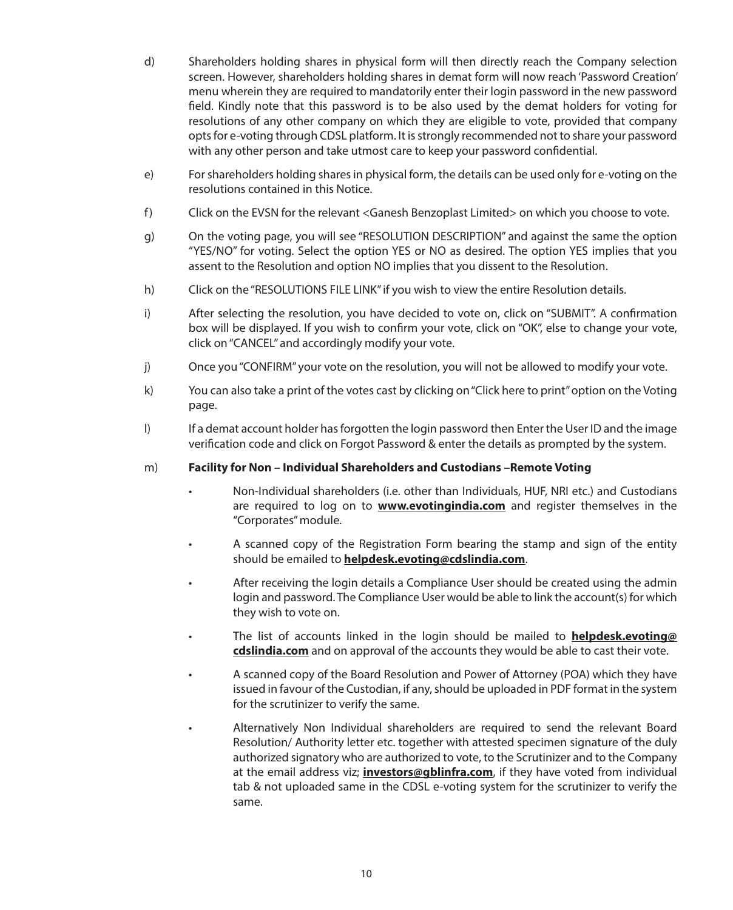- d) Shareholders holding shares in physical form will then directly reach the Company selection screen. However, shareholders holding shares in demat form will now reach 'Password Creation' menu wherein they are required to mandatorily enter their login password in the new password field. Kindly note that this password is to be also used by the demat holders for voting for resolutions of any other company on which they are eligible to vote, provided that company opts for e-voting through CDSL platform. It is strongly recommended not to share your password with any other person and take utmost care to keep your password confidential.
- e) For shareholders holding shares in physical form, the details can be used only for e-voting on the resolutions contained in this Notice.
- f) Click on the EVSN for the relevant <Ganesh Benzoplast Limited> on which you choose to vote.
- g) On the voting page, you will see "RESOLUTION DESCRIPTION" and against the same the option "YES/NO" for voting. Select the option YES or NO as desired. The option YES implies that you assent to the Resolution and option NO implies that you dissent to the Resolution.
- h) Click on the "RESOLUTIONS FILE LINK" if you wish to view the entire Resolution details.
- i) After selecting the resolution, you have decided to vote on, click on "SUBMIT". A confirmation box will be displayed. If you wish to confirm your vote, click on "OK", else to change your vote, click on "CANCEL" and accordingly modify your vote.
- j) Once you "CONFIRM" your vote on the resolution, you will not be allowed to modify your vote.
- k) You can also take a print of the votes cast by clicking on "Click here to print" option on the Voting page.
- l) If a demat account holder has forgotten the login password then Enter the User ID and the image verification code and click on Forgot Password & enter the details as prompted by the system.
- m) **Facility for Non Individual Shareholders and Custodians –Remote Voting**
	- Non-Individual shareholders (i.e. other than Individuals, HUF, NRI etc.) and Custodians are required to log on to **www.evotingindia.com** and register themselves in the "Corporates" module.
	- A scanned copy of the Registration Form bearing the stamp and sign of the entity should be emailed to **helpdesk.evoting@cdslindia.com**.
	- • After receiving the login details a Compliance User should be created using the admin login and password. The Compliance User would be able to link the account(s) for which they wish to vote on.
	- • The list of accounts linked in the login should be mailed to **helpdesk.evoting@ cdslindia.com** and on approval of the accounts they would be able to cast their vote.
	- A scanned copy of the Board Resolution and Power of Attorney (POA) which they have issued in favour of the Custodian, if any, should be uploaded in PDF format in the system for the scrutinizer to verify the same.
	- • Alternatively Non Individual shareholders are required to send the relevant Board Resolution/ Authority letter etc. together with attested specimen signature of the duly authorized signatory who are authorized to vote, to the Scrutinizer and to the Company at the email address viz; **investors@gblinfra.com**, if they have voted from individual tab & not uploaded same in the CDSL e-voting system for the scrutinizer to verify the same.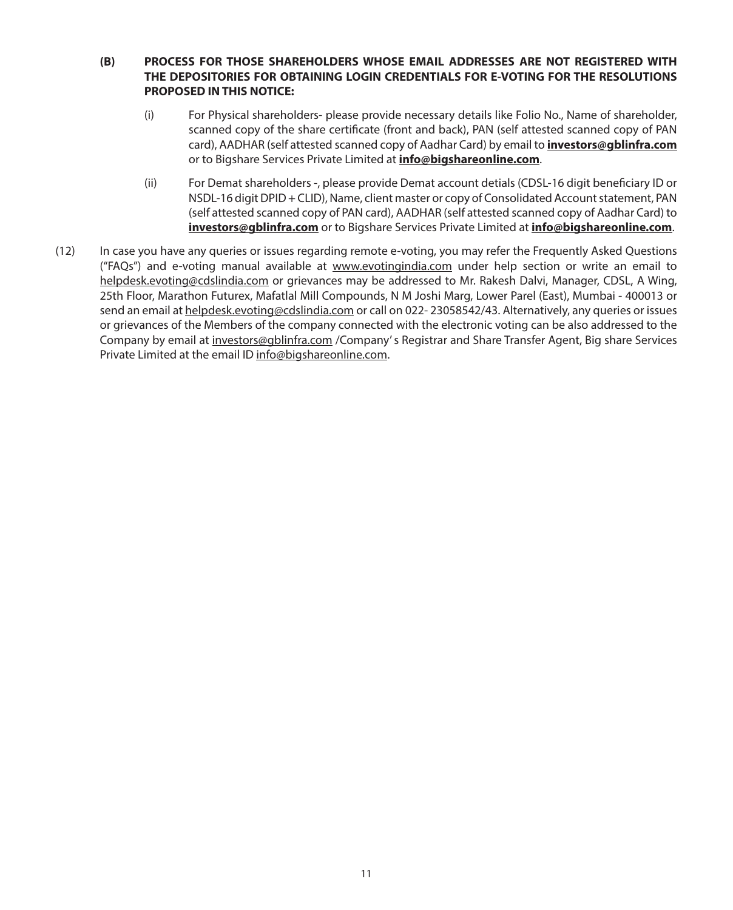# **(B) PROCESS FOR THOSE SHAREHOLDERS WHOSE EMAIL ADDRESSES ARE NOT REGISTERED WITH THE DEPOSITORIES FOR OBTAINING LOGIN CREDENTIALS FOR E-VOTING FOR THE RESOLUTIONS PROPOSED IN THIS NOTICE:**

- (i) For Physical shareholders- please provide necessary details like Folio No., Name of shareholder, scanned copy of the share certificate (front and back), PAN (self attested scanned copy of PAN card), AADHAR (self attested scanned copy of Aadhar Card) by email to **investors@gblinfra.com** or to Bigshare Services Private Limited at **info@bigshareonline.com**.
- (ii) For Demat shareholders -, please provide Demat account detials (CDSL-16 digit beneficiary ID or NSDL-16 digit DPID + CLID), Name, client master or copy of Consolidated Account statement, PAN (self attested scanned copy of PAN card), AADHAR (self attested scanned copy of Aadhar Card) to **investors@gblinfra.com** or to Bigshare Services Private Limited at **info@bigshareonline.com**.
- (12) In case you have any queries or issues regarding remote e-voting, you may refer the Frequently Asked Questions ("FAQs") and e-voting manual available at www.evotingindia.com under help section or write an email to helpdesk.evoting@cdslindia.com or grievances may be addressed to Mr. Rakesh Dalvi, Manager, CDSL, A Wing, 25th Floor, Marathon Futurex, Mafatlal Mill Compounds, N M Joshi Marg, Lower Parel (East), Mumbai - 400013 or send an email at helpdesk.evoting@cdslindia.com or call on 022- 23058542/43. Alternatively, any queries or issues or grievances of the Members of the company connected with the electronic voting can be also addressed to the Company by email at investors@gblinfra.com /Company' s Registrar and Share Transfer Agent, Big share Services Private Limited at the email ID info@bigshareonline.com.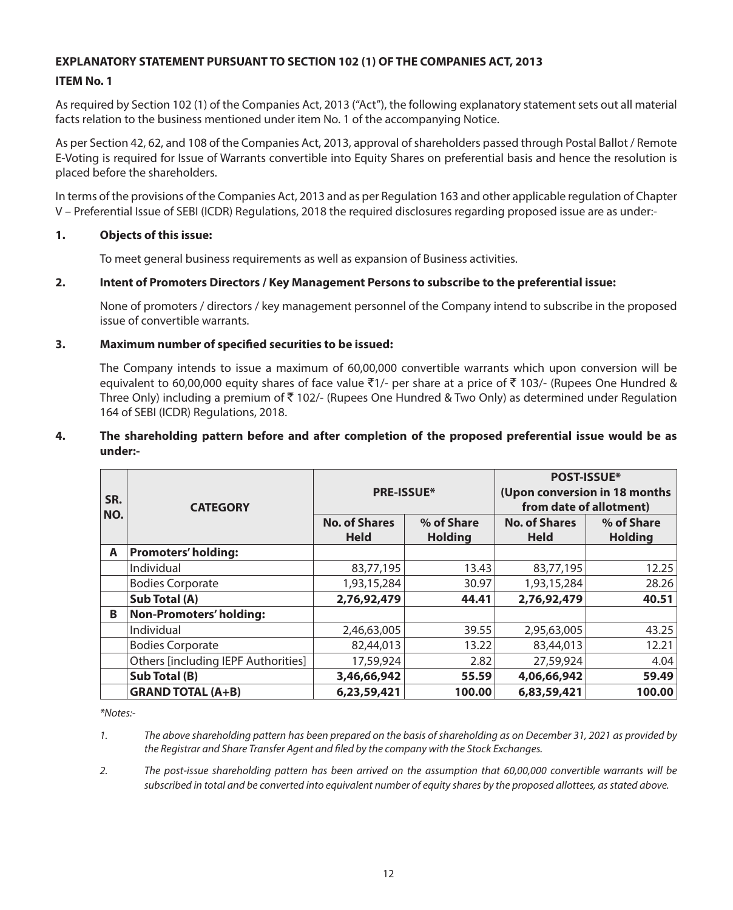# **EXPLANATORY STATEMENT PURSUANT TO SECTION 102 (1) OF THE COMPANIES ACT, 2013**

# **ITEM No. 1**

As required by Section 102 (1) of the Companies Act, 2013 ("Act"), the following explanatory statement sets out all material facts relation to the business mentioned under item No. 1 of the accompanying Notice.

As per Section 42, 62, and 108 of the Companies Act, 2013, approval of shareholders passed through Postal Ballot / Remote E-Voting is required for Issue of Warrants convertible into Equity Shares on preferential basis and hence the resolution is placed before the shareholders.

In terms of the provisions of the Companies Act, 2013 and as per Regulation 163 and other applicable regulation of Chapter V – Preferential Issue of SEBI (ICDR) Regulations, 2018 the required disclosures regarding proposed issue are as under:-

#### **1. Objects of this issue:**

To meet general business requirements as well as expansion of Business activities.

#### **2. Intent of Promoters Directors / Key Management Persons to subscribe to the preferential issue:**

None of promoters / directors / key management personnel of the Company intend to subscribe in the proposed issue of convertible warrants.

#### **3. Maximum number of specified securities to be issued:**

The Company intends to issue a maximum of 60,00,000 convertible warrants which upon conversion will be equivalent to 60,00,000 equity shares of face value  $\bar{\zeta}$ 1/- per share at a price of  $\bar{\zeta}$  103/- (Rupees One Hundred & Three Only) including a premium of  $\bar{\tau}$  102/- (Rupees One Hundred & Two Only) as determined under Regulation 164 of SEBI (ICDR) Regulations, 2018.

#### **4. The shareholding pattern before and after completion of the proposed preferential issue would be as under:-**

| SR.<br>NO. | <b>CATEGORY</b>                     | <b>PRE-ISSUE*</b>                   |                              | <b>POST-ISSUE*</b><br>(Upon conversion in 18 months<br>from date of allotment) |                              |  |
|------------|-------------------------------------|-------------------------------------|------------------------------|--------------------------------------------------------------------------------|------------------------------|--|
|            |                                     | <b>No. of Shares</b><br><b>Held</b> | % of Share<br><b>Holding</b> | <b>No. of Shares</b><br><b>Held</b>                                            | % of Share<br><b>Holding</b> |  |
| A          | <b>Promoters' holding:</b>          |                                     |                              |                                                                                |                              |  |
|            | Individual                          | 83,77,195                           | 13.43                        | 83,77,195                                                                      | 12.25                        |  |
|            | <b>Bodies Corporate</b>             | 1,93,15,284                         | 30.97                        | 1,93,15,284                                                                    | 28.26                        |  |
|            | Sub Total (A)                       | 2,76,92,479                         | 44.41                        | 2,76,92,479                                                                    | 40.51                        |  |
| B          | <b>Non-Promoters' holding:</b>      |                                     |                              |                                                                                |                              |  |
|            | Individual                          | 2,46,63,005                         | 39.55                        | 2,95,63,005                                                                    | 43.25                        |  |
|            | <b>Bodies Corporate</b>             | 82,44,013                           | 13.22                        | 83,44,013                                                                      | 12.21                        |  |
|            | Others [including IEPF Authorities] | 17,59,924                           | 2.82                         | 27,59,924                                                                      | 4.04                         |  |
|            | Sub Total (B)                       | 3,46,66,942                         | 55.59                        | 4,06,66,942                                                                    | 59.49                        |  |
|            | <b>GRAND TOTAL (A+B)</b>            | 6,23,59,421                         | 100.00                       | 6,83,59,421                                                                    | 100.00                       |  |

*\*Notes:-*

*2. The post-issue shareholding pattern has been arrived on the assumption that 60,00,000 convertible warrants will be subscribed in total and be converted into equivalent number of equity shares by the proposed allottees, as stated above.*

*<sup>1.</sup> The above shareholding pattern has been prepared on the basis of shareholding as on December 31, 2021 as provided by the Registrar and Share Transfer Agent and filed by the company with the Stock Exchanges.*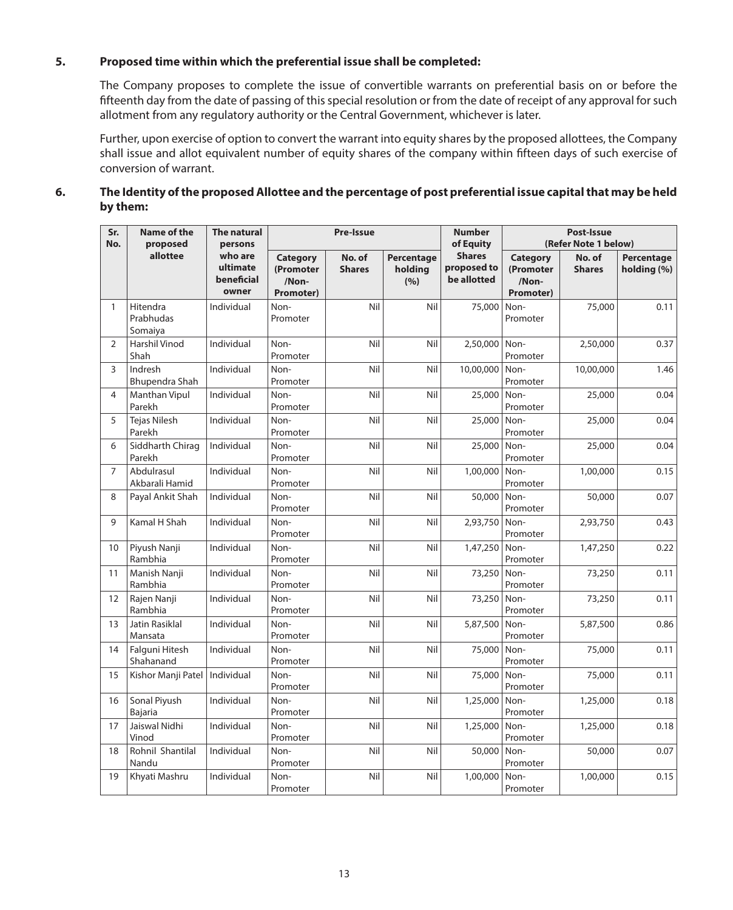# **5. Proposed time within which the preferential issue shall be completed:**

The Company proposes to complete the issue of convertible warrants on preferential basis on or before the fifteenth day from the date of passing of this special resolution or from the date of receipt of any approval for such allotment from any regulatory authority or the Central Government, whichever is later.

Further, upon exercise of option to convert the warrant into equity shares by the proposed allottees, the Company shall issue and allot equivalent number of equity shares of the company within fifteen days of such exercise of conversion of warrant.

# **6. The Identity of the proposed Allottee and the percentage of post preferential issue capital that may be held by them:**

| Sr.<br>No.     | <b>Name of the</b><br>proposed   | The natural<br>persons                     |                                                    | <b>Pre-Issue</b>        |                              | <b>Number</b><br>of Equity                  | Post-Issue<br>(Refer Note 1 below)          |                         |                           |
|----------------|----------------------------------|--------------------------------------------|----------------------------------------------------|-------------------------|------------------------------|---------------------------------------------|---------------------------------------------|-------------------------|---------------------------|
|                | allottee                         | who are<br>ultimate<br>beneficial<br>owner | <b>Category</b><br>(Promoter<br>/Non-<br>Promoter) | No. of<br><b>Shares</b> | Percentage<br>holding<br>(%) | <b>Shares</b><br>proposed to<br>be allotted | Category<br>(Promoter<br>/Non-<br>Promoter) | No. of<br><b>Shares</b> | Percentage<br>holding (%) |
| $\mathbf{1}$   | Hitendra<br>Prabhudas<br>Somaiya | Individual                                 | Non-<br>Promoter                                   | Nil                     | Nil                          | 75,000                                      | Non-<br>Promoter                            | 75,000                  | 0.11                      |
| $\overline{2}$ | Harshil Vinod<br>Shah            | Individual                                 | Non-<br>Promoter                                   | Nil                     | Nil                          | 2,50,000                                    | Non-<br>Promoter                            | 2,50,000                | 0.37                      |
| 3              | Indresh<br>Bhupendra Shah        | Individual                                 | Non-<br>Promoter                                   | Nil                     | Nil                          | 10,00,000                                   | Non-<br>Promoter                            | 10,00,000               | 1.46                      |
| $\overline{4}$ | Manthan Vipul<br>Parekh          | Individual                                 | Non-<br>Promoter                                   | Nil                     | Nil                          | 25,000                                      | Non-<br>Promoter                            | 25,000                  | 0.04                      |
| 5              | <b>Tejas Nilesh</b><br>Parekh    | Individual                                 | Non-<br>Promoter                                   | Nil                     | Nil                          | 25,000                                      | Non-<br>Promoter                            | 25,000                  | 0.04                      |
| 6              | Siddharth Chirag<br>Parekh       | Individual                                 | Non-<br>Promoter                                   | Nil                     | Nil                          | 25,000                                      | Non-<br>Promoter                            | 25,000                  | 0.04                      |
| $\overline{7}$ | Abdulrasul<br>Akbarali Hamid     | Individual                                 | Non-<br>Promoter                                   | Nil                     | Nil                          | 1,00,000                                    | Non-<br>Promoter                            | 1,00,000                | 0.15                      |
| 8              | Payal Ankit Shah                 | Individual                                 | Non-<br>Promoter                                   | Nil                     | Nil                          | 50,000                                      | Non-<br>Promoter                            | 50,000                  | 0.07                      |
| $\mathsf{Q}$   | Kamal H Shah                     | Individual                                 | Non-<br>Promoter                                   | Nil                     | Nil                          | 2,93,750                                    | Non-<br>Promoter                            | 2,93,750                | 0.43                      |
| 10             | Piyush Nanji<br>Rambhia          | Individual                                 | Non-<br>Promoter                                   | Nil                     | Nil                          | 1,47,250                                    | Non-<br>Promoter                            | 1,47,250                | 0.22                      |
| 11             | Manish Nanji<br>Rambhia          | Individual                                 | Non-<br>Promoter                                   | Nil                     | Nil                          | 73,250                                      | Non-<br>Promoter                            | 73,250                  | 0.11                      |
| 12             | Rajen Nanji<br>Rambhia           | Individual                                 | Non-<br>Promoter                                   | Nil                     | Nil                          | 73,250                                      | Non-<br>Promoter                            | 73,250                  | 0.11                      |
| 13             | <b>Jatin Rasiklal</b><br>Mansata | Individual                                 | Non-<br>Promoter                                   | Nil                     | Nil                          | 5,87,500                                    | Non-<br>Promoter                            | 5,87,500                | 0.86                      |
| 14             | Falguni Hitesh<br>Shahanand      | Individual                                 | Non-<br>Promoter                                   | Nil                     | Nil                          | 75,000                                      | Non-<br>Promoter                            | 75,000                  | 0.11                      |
| 15             | Kishor Manji Patel   Individual  |                                            | Non-<br>Promoter                                   | Nil                     | Nil                          | 75,000                                      | Non-<br>Promoter                            | 75,000                  | 0.11                      |
| 16             | Sonal Piyush<br>Bajaria          | Individual                                 | Non-<br>Promoter                                   | Nil                     | Nil                          | 1,25,000                                    | Non-<br>Promoter                            | 1,25,000                | 0.18                      |
| 17             | Jaiswal Nidhi<br>Vinod           | Individual                                 | Non-<br>Promoter                                   | Nil                     | Nil                          | 1,25,000                                    | Non-<br>Promoter                            | 1,25,000                | 0.18                      |
| 18             | Rohnil Shantilal<br>Nandu        | Individual                                 | Non-<br>Promoter                                   | Nil                     | Nil                          | 50,000                                      | Non-<br>Promoter                            | 50,000                  | 0.07                      |
| 19             | Khyati Mashru                    | Individual                                 | Non-<br>Promoter                                   | Nil                     | Nil                          | 1,00,000                                    | Non-<br>Promoter                            | 1,00,000                | 0.15                      |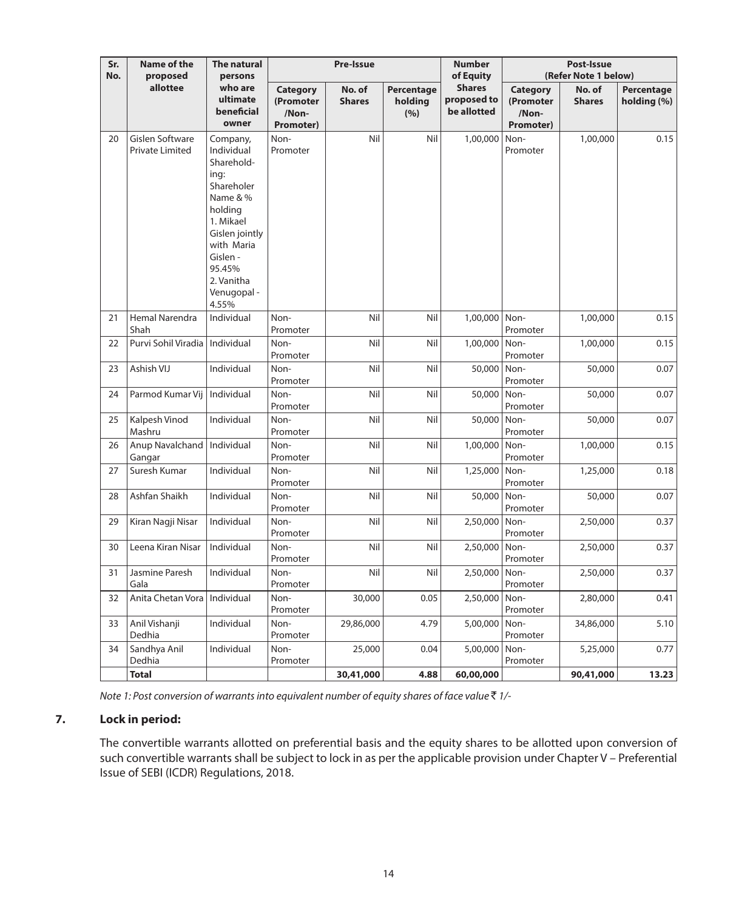| Sr.<br>No. | <b>Name of the</b><br>proposed                   | The natural<br>persons                                                                                                                                                                     |                                                    | <b>Pre-Issue</b>        |                              | <b>Number</b><br>of Equity                  | Post-Issue<br>(Refer Note 1 below)          |                         |                           |
|------------|--------------------------------------------------|--------------------------------------------------------------------------------------------------------------------------------------------------------------------------------------------|----------------------------------------------------|-------------------------|------------------------------|---------------------------------------------|---------------------------------------------|-------------------------|---------------------------|
|            | allottee                                         | who are<br>ultimate<br>beneficial<br>owner                                                                                                                                                 | <b>Category</b><br>(Promoter<br>/Non-<br>Promoter) | No. of<br><b>Shares</b> | Percentage<br>holding<br>(%) | <b>Shares</b><br>proposed to<br>be allotted | Category<br>(Promoter<br>/Non-<br>Promoter) | No. of<br><b>Shares</b> | Percentage<br>holding (%) |
| 20         | <b>Gislen Software</b><br><b>Private Limited</b> | Company,<br>Individual<br>Sharehold-<br>ing:<br>Shareholer<br>Name & %<br>holding<br>1. Mikael<br>Gislen jointly<br>with Maria<br>Gislen -<br>95.45%<br>2. Vanitha<br>Venugopal -<br>4.55% | Non-<br>Promoter                                   | Nil                     | Nil                          | 1,00,000                                    | Non-<br>Promoter                            | 1,00,000                | 0.15                      |
| 21         | Hemal Narendra<br>Shah                           | Individual                                                                                                                                                                                 | Non-<br>Promoter                                   | Nil                     | Nil                          | 1,00,000                                    | Non-<br>Promoter                            | 1,00,000                | 0.15                      |
| 22         | Purvi Sohil Viradia   Individual                 |                                                                                                                                                                                            | Non-<br>Promoter                                   | Nil                     | Nil                          | 1,00,000                                    | Non-<br>Promoter                            | 1,00,000                | 0.15                      |
| 23         | Ashish VIJ                                       | Individual                                                                                                                                                                                 | Non-<br>Promoter                                   | Nil                     | Nil                          | 50,000                                      | Non-<br>Promoter                            | 50,000                  | 0.07                      |
| 24         | Parmod Kumar Vij   Individual                    |                                                                                                                                                                                            | Non-<br>Promoter                                   | Nil                     | Nil                          | 50,000                                      | Non-<br>Promoter                            | 50,000                  | 0.07                      |
| 25         | Kalpesh Vinod<br>Mashru                          | Individual                                                                                                                                                                                 | Non-<br>Promoter                                   | Nil                     | Nil                          | 50,000                                      | Non-<br>Promoter                            | 50,000                  | 0.07                      |
| 26         | Anup Navalchand   Individual<br>Gangar           |                                                                                                                                                                                            | Non-<br>Promoter                                   | Nil                     | Nil                          | 1,00,000                                    | Non-<br>Promoter                            | 1,00,000                | 0.15                      |
| 27         | Suresh Kumar                                     | Individual                                                                                                                                                                                 | Non-<br>Promoter                                   | Nil                     | Nil                          | 1,25,000                                    | Non-<br>Promoter                            | 1,25,000                | 0.18                      |
| 28         | Ashfan Shaikh                                    | Individual                                                                                                                                                                                 | Non-<br>Promoter                                   | Nil                     | Nil                          | 50,000                                      | Non-<br>Promoter                            | 50,000                  | 0.07                      |
| 29         | Kiran Nagji Nisar                                | Individual                                                                                                                                                                                 | Non-<br>Promoter                                   | Nil                     | Nil                          | 2,50,000                                    | Non-<br>Promoter                            | 2,50,000                | 0.37                      |
| 30         | Leena Kiran Nisar                                | Individual                                                                                                                                                                                 | Non-<br>Promoter                                   | Nil                     | Nil                          | 2,50,000                                    | Non-<br>Promoter                            | 2,50,000                | 0.37                      |
| 31         | Jasmine Paresh<br>Gala                           | Individual                                                                                                                                                                                 | Non-<br>Promoter                                   | Nil                     | Nil                          | 2,50,000                                    | Non-<br>Promoter                            | 2,50,000                | 0.37                      |
| 32         | Anita Chetan Vora   Individual                   |                                                                                                                                                                                            | Non-<br>Promoter                                   | 30,000                  | 0.05                         | 2,50,000                                    | Non-<br>Promoter                            | 2,80,000                | 0.41                      |
| 33         | Anil Vishanji                                    | Individual                                                                                                                                                                                 | Non-                                               | 29,86,000               | 4.79                         | 5,00,000                                    | Non-                                        | 34,86,000               | 5.10                      |
| 34         | Dedhia<br>Sandhya Anil                           | Individual                                                                                                                                                                                 | Promoter<br>Non-                                   | 25,000                  | 0.04                         | 5,00,000                                    | Promoter<br>Non-                            | 5,25,000                | 0.77                      |
|            | Dedhia                                           |                                                                                                                                                                                            | Promoter                                           |                         |                              |                                             | Promoter                                    |                         |                           |
|            | <b>Total</b>                                     |                                                                                                                                                                                            |                                                    | 30,41,000               | 4.88                         | 60,00,000                                   |                                             | 90,41,000               | 13.23                     |

*Note 1: Post conversion of warrants into equivalent number of equity shares of face value* ` *1/-* 

### **7. Lock in period:**

The convertible warrants allotted on preferential basis and the equity shares to be allotted upon conversion of such convertible warrants shall be subject to lock in as per the applicable provision under Chapter V – Preferential Issue of SEBI (ICDR) Regulations, 2018.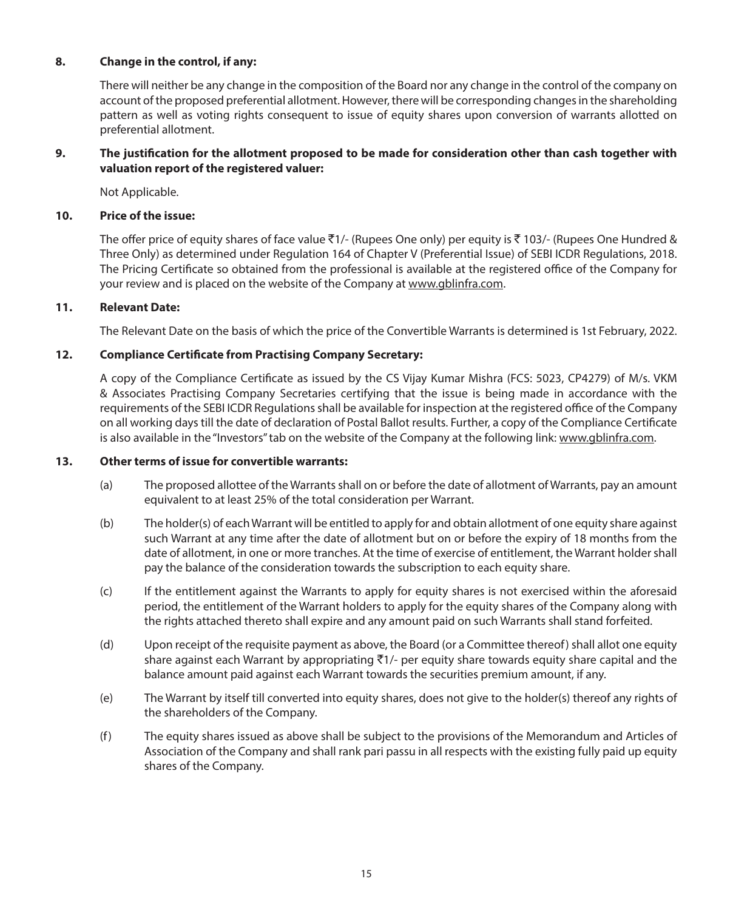### **8. Change in the control, if any:**

There will neither be any change in the composition of the Board nor any change in the control of the company on account of the proposed preferential allotment. However, there will be corresponding changes in the shareholding pattern as well as voting rights consequent to issue of equity shares upon conversion of warrants allotted on preferential allotment.

### **9. The justification for the allotment proposed to be made for consideration other than cash together with valuation report of the registered valuer:**

Not Applicable.

### **10. Price of the issue:**

The offer price of equity shares of face value ₹1/- (Rupees One only) per equity is ₹103/- (Rupees One Hundred & Three Only) as determined under Regulation 164 of Chapter V (Preferential Issue) of SEBI ICDR Regulations, 2018. The Pricing Certificate so obtained from the professional is available at the registered office of the Company for your review and is placed on the website of the Company at www.gblinfra.com.

#### **11. Relevant Date:**

The Relevant Date on the basis of which the price of the Convertible Warrants is determined is 1st February, 2022.

# **12. Compliance Certificate from Practising Company Secretary:**

A copy of the Compliance Certificate as issued by the CS Vijay Kumar Mishra (FCS: 5023, CP4279) of M/s. VKM & Associates Practising Company Secretaries certifying that the issue is being made in accordance with the requirements of the SEBI ICDR Regulations shall be available for inspection at the registered office of the Company on all working days till the date of declaration of Postal Ballot results. Further, a copy of the Compliance Certificate is also available in the "Investors" tab on the website of the Company at the following link: www.gblinfra.com.

#### **13. Other terms of issue for convertible warrants:**

- (a) The proposed allottee of the Warrants shall on or before the date of allotment of Warrants, pay an amount equivalent to at least 25% of the total consideration per Warrant.
- (b) The holder(s) of each Warrant will be entitled to apply for and obtain allotment of one equity share against such Warrant at any time after the date of allotment but on or before the expiry of 18 months from the date of allotment, in one or more tranches. At the time of exercise of entitlement, the Warrant holder shall pay the balance of the consideration towards the subscription to each equity share.
- (c) If the entitlement against the Warrants to apply for equity shares is not exercised within the aforesaid period, the entitlement of the Warrant holders to apply for the equity shares of the Company along with the rights attached thereto shall expire and any amount paid on such Warrants shall stand forfeited.
- (d) Upon receipt of the requisite payment as above, the Board (or a Committee thereof) shall allot one equity share against each Warrant by appropriating  $\overline{5}1/-$  per equity share towards equity share capital and the balance amount paid against each Warrant towards the securities premium amount, if any.
- (e) The Warrant by itself till converted into equity shares, does not give to the holder(s) thereof any rights of the shareholders of the Company.
- (f) The equity shares issued as above shall be subject to the provisions of the Memorandum and Articles of Association of the Company and shall rank pari passu in all respects with the existing fully paid up equity shares of the Company.